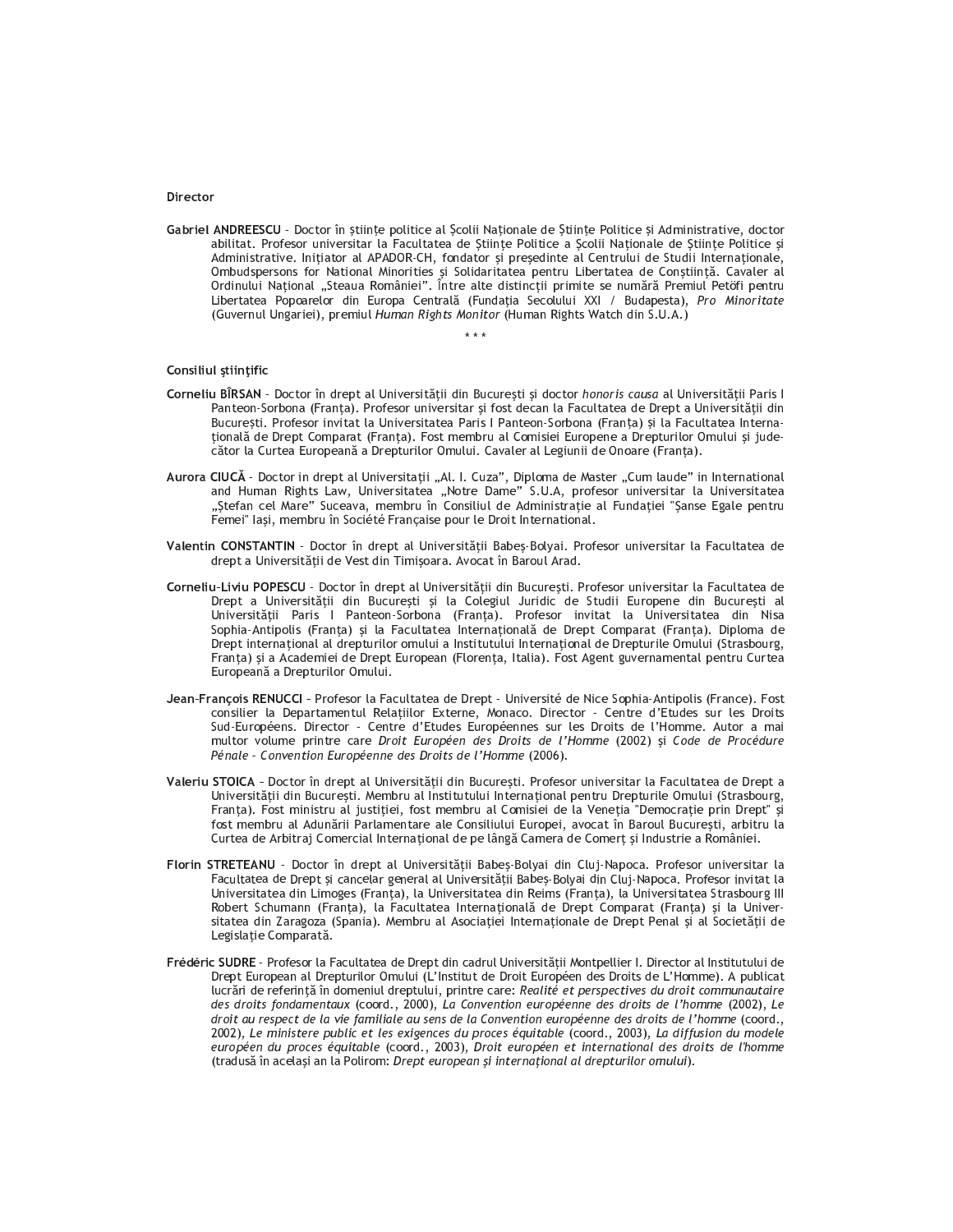## Director

Gabriel ANDREESCU - Doctor în științe politice al Școlii Naționale de Științe Politice și Administrative, doctor abilitat. Profesor universitar la Facultatea de Stiințe Politice a Școlii Naționale de Științe Politice și Administrative. Inițiator al APADOR-CH, fondator și președinte al Centrului de Studii Internaționale, Ombudspersons for National Minorities și Solidaritatea pentru Libertatea de Conștiință. Cavaler al<br>Ordinului Național "Steaua României". Între alte distincții primite se numără Premiul Petöfi pentru Libertatea Popoarelor din Europa Centrală (Fundația Secolului XXI / Budapesta), Pro Minoritate (Guvernul Ungariei), premiul Human Rights Monitor (Human Rights Watch din S.U.A.)

وأوالوا

## Consiliul științific

- Corneliu BÎRSAN Doctor în drept al Universității din București și doctor honoris causa al Universității Paris I Panteon-Sorbona (Franța). Profesor universitar și fost decan la Facultatea de Drept a Universității din București, Profesor invitat la Universitatea Paris | Panteon-Sorbona (Franța) și la Facultatea Internațională de Drept Comparat (Franța). Fost membru al Comisiei Europene a Drepturilor Omului și judecător la Curtea Europeană a Drepturilor Omului. Cavaler al Legiunii de Onoare (Franța).
- Aurora CIUCĂ Doctor in drept al Universitații "Al. I. Cuza", Diploma de Master "Cum laude" in International<br>and Human Rights Law, Universitatea "Notre Dame" S.U.A, profesor universitar la Universitatea "Ștefan cel Mare" Suceava, membru în Consiliul de Administrație al Fundației "Șanse Egale pentru Femei" lași, membru în Société Française pour le Droit International.
- Valentin CONSTANTIN Doctor în drept al Universității Babeș-Bolyai, Profesor universitar la Facultatea de drept a Universității de Vest din Timișoara. Avocat în Baroul Arad.
- Corneliu-Liviu POPESCU Doctor în drept al Universității din București. Profesor universitar la Facultatea de Drept a Universității din București și la Colegiul Juridic de Studii Europene din București al Universității Paris I Panteon-Sorbona (Franța). Profesor invitat la Universitatea din Nisa Sophia-Antipolis (Franța) și la Facultatea Internațională de Drept Comparat (Franța). Diploma de Drept internațional al drepturilor omului a Institutului Internațional de Drepturile Omului (Strasbourg, Franta) și a Academiei de Drept European (Florența, Italia). Fost Agent guvernamental pentru Curtea Europeană a Drepturilor Omului.
- Jean-Francois RENUCCI Profesor la Facultatea de Drept Université de Nice Sophia-Antipolis (France), Fost consilier la Departamentul Relatiilor Externe, Monaco. Director - Centre d'Etudes sur les Droits Sud-Européens. Director - Centre d'Etudes Européennes sur les Droits de l'Homme. Autor a mai multor volume printre care Droit Européen des Droits de l'Homme (2002) și Code de Procédure Pénale - Convention Européenne des Droits de l'Homme (2006).
- Valeriu STOICA Doctor în drept al Universității din București. Profesor universitar la Facultatea de Drept a Universității din București. Membru al Institutului Internațional pentru Drepturile Omului (Strasbourg, Franta). Fost ministru al justitiei, fost membru al Comisiei de la Venetia "Democratie prin Drept" si fost membru al Adunării Parlamentare ale Consiliului Europei, avocat în Baroul București, arbitru la Curtea de Arbitraj Comercial Internațional de pe lângă Camera de Comerț și Industrie a României.
- Florin STRETEANU Doctor în drept al Universității Babeș-Bolyai din Cluj-Napoca. Profesor universitar la Facultatea de Drept și cancelar general al Universității Babeș-Bolyai din Cluj-Napoca. Profesor invitat la Universitatea din Limoges (Franța), la Universitatea din Reims (Franța), la Universitatea Strasbourg III Robert Schumann (Franța), la Facultatea Internațională de Drept Comparat (Franța) și la Universitatea din Zaragoza (Spania). Membru al Asociației Internaționale de Drept Penal și al Societății de Legislație Comparată.
- Frédéric SUDRE Profesor la Facultatea de Drept din cadrul Universității Montpellier I. Director al Institutului de Drept European al Drepturilor Omului (L'Institut de Droit Européen des Droits de L'Homme). A publicat lucrări de referință în domeniul dreptului, printre care: Realité et perspectives du droit communautaire des droits fondamentaux (coord., 2000), La Convention européenne des droits de l'homme (2002), Le droit au respect de la vie familiale au sens de la Convention européenne des droits de l'homme (coord., 2002), Le ministere public et les exigences du proces équitable (coord., 2003), La diffusion du modele européen du proces équitable (coord., 2003), Droit européen et international des droits de l'homme (tradusă în același an la Polirom: Drept european și internațional al drepturilor omului).